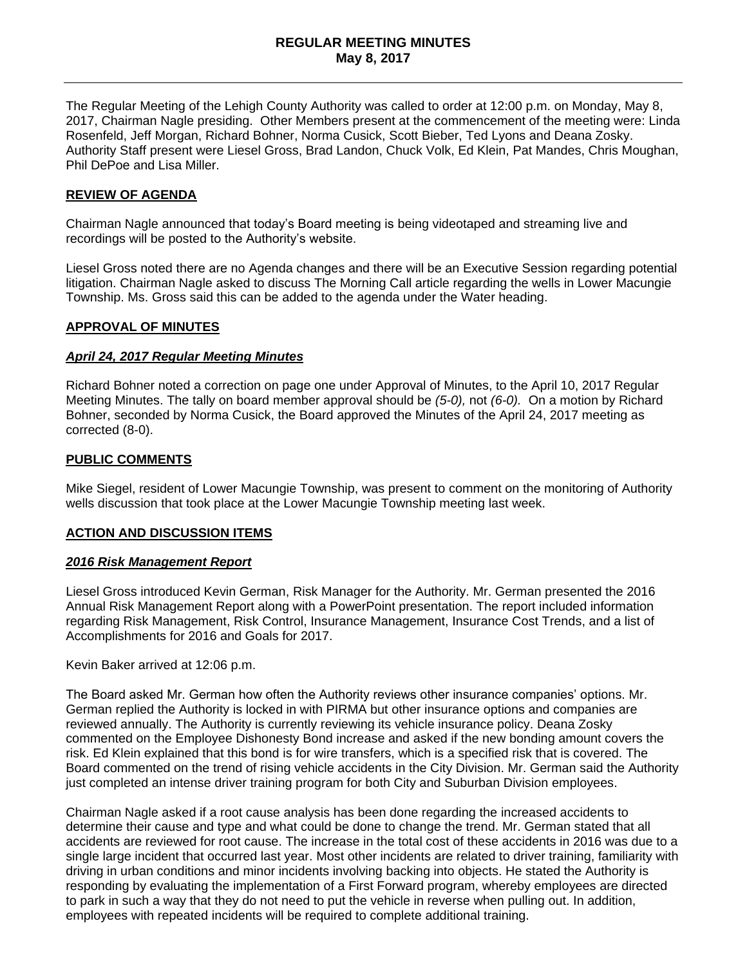The Regular Meeting of the Lehigh County Authority was called to order at 12:00 p.m. on Monday, May 8, 2017, Chairman Nagle presiding. Other Members present at the commencement of the meeting were: Linda Rosenfeld, Jeff Morgan, Richard Bohner, Norma Cusick, Scott Bieber, Ted Lyons and Deana Zosky. Authority Staff present were Liesel Gross, Brad Landon, Chuck Volk, Ed Klein, Pat Mandes, Chris Moughan, Phil DePoe and Lisa Miller.

## **REVIEW OF AGENDA**

Chairman Nagle announced that today's Board meeting is being videotaped and streaming live and recordings will be posted to the Authority's website.

Liesel Gross noted there are no Agenda changes and there will be an Executive Session regarding potential litigation. Chairman Nagle asked to discuss The Morning Call article regarding the wells in Lower Macungie Township. Ms. Gross said this can be added to the agenda under the Water heading.

#### **APPROVAL OF MINUTES**

#### *April 24, 2017 Regular Meeting Minutes*

Richard Bohner noted a correction on page one under Approval of Minutes, to the April 10, 2017 Regular Meeting Minutes. The tally on board member approval should be *(5-0),* not *(6-0).* On a motion by Richard Bohner, seconded by Norma Cusick, the Board approved the Minutes of the April 24, 2017 meeting as corrected (8-0).

#### **PUBLIC COMMENTS**

Mike Siegel, resident of Lower Macungie Township, was present to comment on the monitoring of Authority wells discussion that took place at the Lower Macungie Township meeting last week.

#### **ACTION AND DISCUSSION ITEMS**

#### *2016 Risk Management Report*

Liesel Gross introduced Kevin German, Risk Manager for the Authority. Mr. German presented the 2016 Annual Risk Management Report along with a PowerPoint presentation. The report included information regarding Risk Management, Risk Control, Insurance Management, Insurance Cost Trends, and a list of Accomplishments for 2016 and Goals for 2017.

Kevin Baker arrived at 12:06 p.m.

The Board asked Mr. German how often the Authority reviews other insurance companies' options. Mr. German replied the Authority is locked in with PIRMA but other insurance options and companies are reviewed annually. The Authority is currently reviewing its vehicle insurance policy. Deana Zosky commented on the Employee Dishonesty Bond increase and asked if the new bonding amount covers the risk. Ed Klein explained that this bond is for wire transfers, which is a specified risk that is covered. The Board commented on the trend of rising vehicle accidents in the City Division. Mr. German said the Authority just completed an intense driver training program for both City and Suburban Division employees.

Chairman Nagle asked if a root cause analysis has been done regarding the increased accidents to determine their cause and type and what could be done to change the trend. Mr. German stated that all accidents are reviewed for root cause. The increase in the total cost of these accidents in 2016 was due to a single large incident that occurred last year. Most other incidents are related to driver training, familiarity with driving in urban conditions and minor incidents involving backing into objects. He stated the Authority is responding by evaluating the implementation of a First Forward program, whereby employees are directed to park in such a way that they do not need to put the vehicle in reverse when pulling out. In addition, employees with repeated incidents will be required to complete additional training.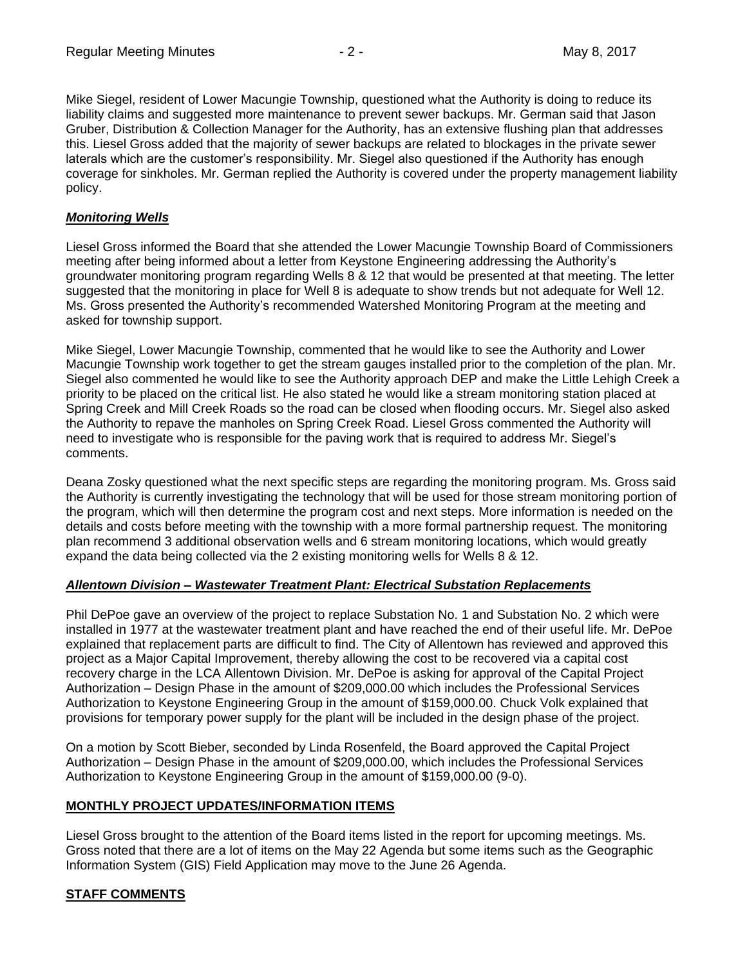Mike Siegel, resident of Lower Macungie Township, questioned what the Authority is doing to reduce its liability claims and suggested more maintenance to prevent sewer backups. Mr. German said that Jason Gruber, Distribution & Collection Manager for the Authority, has an extensive flushing plan that addresses this. Liesel Gross added that the majority of sewer backups are related to blockages in the private sewer laterals which are the customer's responsibility. Mr. Siegel also questioned if the Authority has enough coverage for sinkholes. Mr. German replied the Authority is covered under the property management liability policy.

## *Monitoring Wells*

Liesel Gross informed the Board that she attended the Lower Macungie Township Board of Commissioners meeting after being informed about a letter from Keystone Engineering addressing the Authority's groundwater monitoring program regarding Wells 8 & 12 that would be presented at that meeting. The letter suggested that the monitoring in place for Well 8 is adequate to show trends but not adequate for Well 12. Ms. Gross presented the Authority's recommended Watershed Monitoring Program at the meeting and asked for township support.

Mike Siegel, Lower Macungie Township, commented that he would like to see the Authority and Lower Macungie Township work together to get the stream gauges installed prior to the completion of the plan. Mr. Siegel also commented he would like to see the Authority approach DEP and make the Little Lehigh Creek a priority to be placed on the critical list. He also stated he would like a stream monitoring station placed at Spring Creek and Mill Creek Roads so the road can be closed when flooding occurs. Mr. Siegel also asked the Authority to repave the manholes on Spring Creek Road. Liesel Gross commented the Authority will need to investigate who is responsible for the paving work that is required to address Mr. Siegel's comments.

Deana Zosky questioned what the next specific steps are regarding the monitoring program. Ms. Gross said the Authority is currently investigating the technology that will be used for those stream monitoring portion of the program, which will then determine the program cost and next steps. More information is needed on the details and costs before meeting with the township with a more formal partnership request. The monitoring plan recommend 3 additional observation wells and 6 stream monitoring locations, which would greatly expand the data being collected via the 2 existing monitoring wells for Wells 8 & 12.

#### *Allentown Division – Wastewater Treatment Plant: Electrical Substation Replacements*

Phil DePoe gave an overview of the project to replace Substation No. 1 and Substation No. 2 which were installed in 1977 at the wastewater treatment plant and have reached the end of their useful life. Mr. DePoe explained that replacement parts are difficult to find. The City of Allentown has reviewed and approved this project as a Major Capital Improvement, thereby allowing the cost to be recovered via a capital cost recovery charge in the LCA Allentown Division. Mr. DePoe is asking for approval of the Capital Project Authorization – Design Phase in the amount of \$209,000.00 which includes the Professional Services Authorization to Keystone Engineering Group in the amount of \$159,000.00. Chuck Volk explained that provisions for temporary power supply for the plant will be included in the design phase of the project.

On a motion by Scott Bieber, seconded by Linda Rosenfeld, the Board approved the Capital Project Authorization – Design Phase in the amount of \$209,000.00, which includes the Professional Services Authorization to Keystone Engineering Group in the amount of \$159,000.00 (9-0).

# **MONTHLY PROJECT UPDATES/INFORMATION ITEMS**

Liesel Gross brought to the attention of the Board items listed in the report for upcoming meetings. Ms. Gross noted that there are a lot of items on the May 22 Agenda but some items such as the Geographic Information System (GIS) Field Application may move to the June 26 Agenda.

# **STAFF COMMENTS**